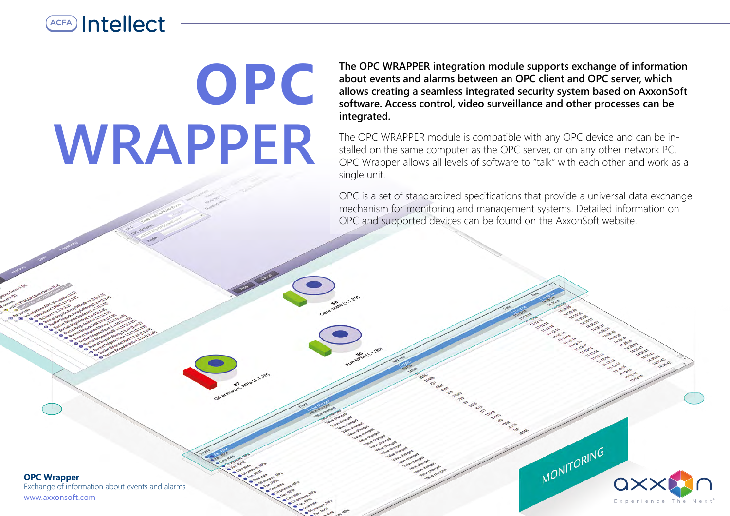## **ACFA** Intellect

**OPC WRAPPER**

**The OPC WRAPPER integration module supports exchange of information about events and alarms between an OPC client and OPC server, which allows creating a seamless integrated security system based on AxxonSoft software. Access control, video surveillance and other processes can be integrated.** 

The OPC WRAPPER module is compatible with any OPC device and can be installed on the same computer as the OPC server, or on any other network PC. OPC Wrapper allows all levels of software to "talk" with each other and work as a single unit.

OPC is a set of standardized specifications that provide a universal data exchange mechanism for monitoring and management systems. Detailed information on OPC and supported devices can be found on the AxxonSoft website.

e de la construcción de la construcción



Exchange of information about events and alarms [www.axxonsoft.com](http://www.axxonsoft.com/)